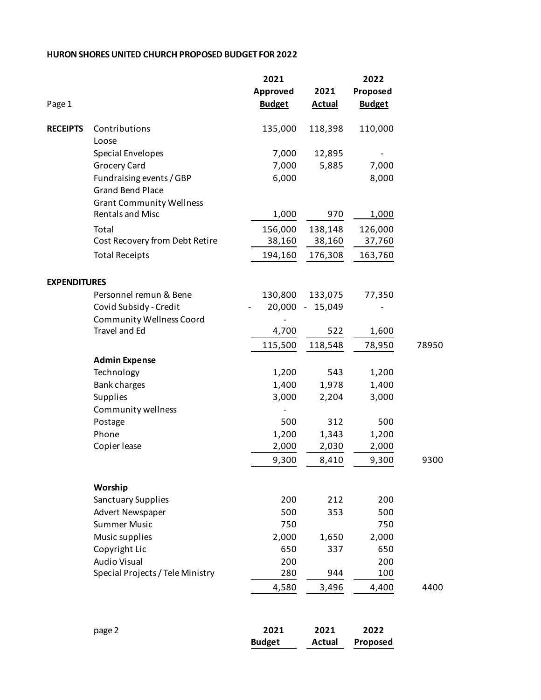## **HURON SHORES UNITED CHURCH PROPOSED BUDGET FOR 2022**

|                     |                                  | 2021                  |                       | 2022             |       |
|---------------------|----------------------------------|-----------------------|-----------------------|------------------|-------|
|                     |                                  | Approved              | 2021                  | Proposed         |       |
| Page 1              |                                  | <b>Budget</b>         | <b>Actual</b>         | <b>Budget</b>    |       |
| <b>RECEIPTS</b>     | Contributions                    | 135,000               | 118,398               | 110,000          |       |
|                     | Loose                            |                       |                       |                  |       |
|                     | Special Envelopes                | 7,000                 | 12,895                |                  |       |
|                     | Grocery Card                     | 7,000                 | 5,885                 | 7,000            |       |
|                     | Fundraising events / GBP         | 6,000                 |                       | 8,000            |       |
|                     | <b>Grand Bend Place</b>          |                       |                       |                  |       |
|                     | <b>Grant Community Wellness</b>  |                       |                       |                  |       |
|                     | Rentals and Misc                 | 1,000                 | 970                   | 1,000            |       |
|                     | Total                            | 156,000               | 138,148               | 126,000          |       |
|                     | Cost Recovery from Debt Retire   | 38,160                | 38,160                | 37,760           |       |
|                     | <b>Total Receipts</b>            | 194,160               | 176,308               | 163,760          |       |
| <b>EXPENDITURES</b> |                                  |                       |                       |                  |       |
|                     | Personnel remun & Bene           | 130,800               | 133,075               | 77,350           |       |
|                     | Covid Subsidy - Credit           | $20,000 -$            | 15,049                |                  |       |
|                     | <b>Community Wellness Coord</b>  |                       |                       |                  |       |
|                     | Travel and Ed                    | 4,700                 | 522                   | 1,600            |       |
|                     |                                  | 115,500               | 118,548               | 78,950           | 78950 |
|                     | <b>Admin Expense</b>             |                       |                       |                  |       |
|                     | Technology                       | 1,200                 | 543                   | 1,200            |       |
|                     | Bank charges                     | 1,400                 | 1,978                 | 1,400            |       |
|                     | Supplies                         | 3,000                 | 2,204                 | 3,000            |       |
|                     | Community wellness               |                       |                       |                  |       |
|                     | Postage                          | 500                   | 312                   | 500              |       |
|                     | Phone                            | 1,200                 | 1,343                 | 1,200            |       |
|                     | Copier lease                     | 2,000                 | 2,030                 | 2,000            |       |
|                     |                                  | 9,300                 | 8,410                 | 9,300            | 9300  |
|                     | Worship                          |                       |                       |                  |       |
|                     | Sanctuary Supplies               | 200                   | 212                   | 200              |       |
|                     | Advert Newspaper                 | 500                   | 353                   | 500              |       |
|                     | <b>Summer Music</b>              | 750                   |                       | 750              |       |
|                     | Music supplies                   | 2,000                 | 1,650                 | 2,000            |       |
|                     | Copyright Lic                    | 650                   | 337                   | 650              |       |
|                     | <b>Audio Visual</b>              | 200                   |                       | 200              |       |
|                     | Special Projects / Tele Ministry | 280                   | 944                   | 100              |       |
|                     |                                  | 4,580                 | 3,496                 | 4,400            | 4400  |
|                     |                                  |                       |                       |                  |       |
|                     | page 2                           | 2021<br><b>Budget</b> | 2021<br><b>Actual</b> | 2022<br>Proposed |       |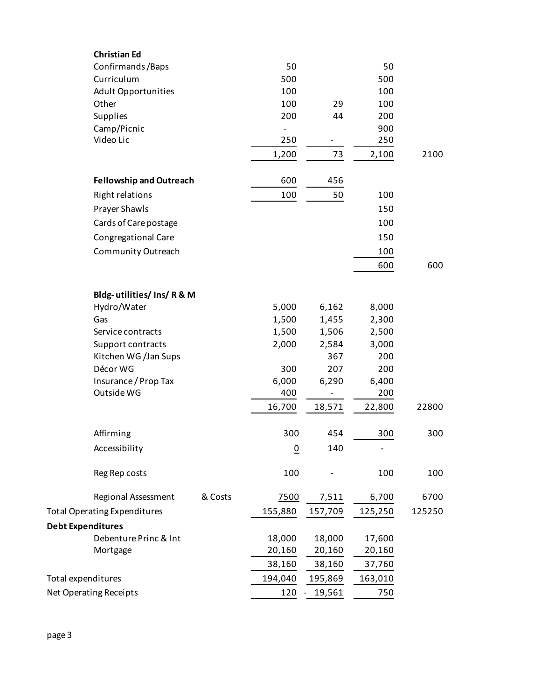| <b>Christian Ed</b>                 |         |                          |         |         |        |
|-------------------------------------|---------|--------------------------|---------|---------|--------|
| Confirmands/Baps                    |         | 50                       |         | 50      |        |
| Curriculum                          |         | 500                      |         | 500     |        |
| <b>Adult Opportunities</b>          |         | 100                      |         | 100     |        |
| Other                               |         | 100                      | 29      | 100     |        |
| Supplies                            |         | 200                      | 44      | 200     |        |
| Camp/Picnic                         |         | $\overline{\phantom{0}}$ |         | 900     |        |
| Video Lic                           |         | 250                      |         | 250     |        |
|                                     |         | 1,200                    | 73      | 2,100   | 2100   |
| <b>Fellowship and Outreach</b>      |         | 600                      | 456     |         |        |
| <b>Right relations</b>              |         | 100                      | 50      | 100     |        |
| Prayer Shawls                       |         |                          |         | 150     |        |
| Cards of Care postage               |         |                          |         | 100     |        |
| Congregational Care                 |         |                          |         | 150     |        |
| Community Outreach                  |         |                          |         | 100     |        |
|                                     |         |                          |         | 600     | 600    |
|                                     |         |                          |         |         |        |
| Bldg-utilities/Ins/R&M              |         |                          |         |         |        |
| Hydro/Water                         |         | 5,000                    | 6,162   | 8,000   |        |
| Gas                                 |         | 1,500                    | 1,455   | 2,300   |        |
| Service contracts                   |         | 1,500                    | 1,506   | 2,500   |        |
| Support contracts                   |         | 2,000                    | 2,584   | 3,000   |        |
| Kitchen WG /Jan Sups                |         |                          | 367     | 200     |        |
| Décor WG                            |         | 300                      | 207     | 200     |        |
| Insurance / Prop Tax                |         | 6,000                    | 6,290   | 6,400   |        |
| Outside WG                          |         | 400                      |         | 200     |        |
|                                     |         | 16,700                   | 18,571  | 22,800  | 22800  |
| Affirming                           |         | 300                      | 454     | 300     | 300    |
| Accessibility                       |         | $\underline{0}$          | 140     |         |        |
| Reg Rep costs                       |         | 100                      |         | 100     | 100    |
| Regional Assessment                 | & Costs | 7500                     | 7,511   | 6,700   | 6700   |
| <b>Total Operating Expenditures</b> |         | 155,880                  | 157,709 | 125,250 | 125250 |
| <b>Debt Expenditures</b>            |         |                          |         |         |        |
| Debenture Princ & Int               |         | 18,000                   | 18,000  | 17,600  |        |
| Mortgage                            |         | 20,160                   | 20,160  | 20,160  |        |
|                                     |         | 38,160                   | 38,160  | 37,760  |        |
| Total expenditures                  |         | 194,040                  | 195,869 | 163,010 |        |
| Net Operating Receipts              |         | 120                      | 19,561  | 750     |        |